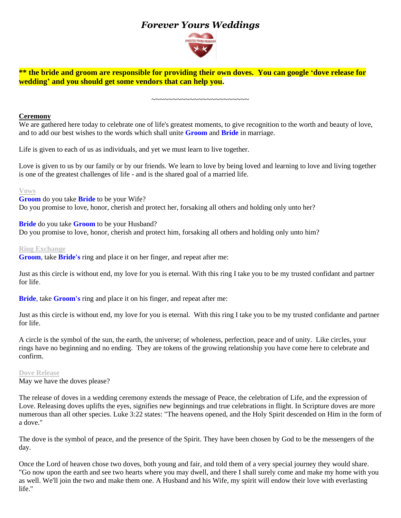# *Forever Yours Weddings*



**\*\* the bride and groom are responsible for providing their own doves. You can google 'dove release for wedding' and you should get some vendors that can help you.**

~~~~~~~~~~~~~~~~~~~~~~~

### **Ceremony**

We are gathered here today to celebrate one of life's greatest moments, to give recognition to the worth and beauty of love, and to add our best wishes to the words which shall unite **Groom** and **Bride** in marriage.

Life is given to each of us as individuals, and yet we must learn to live together.

Love is given to us by our family or by our friends. We learn to love by being loved and learning to love and living together is one of the greatest challenges of life - and is the shared goal of a married life.

**Vows**

**Groom** do you take **Bride** to be your Wife? Do you promise to love, honor, cherish and protect her, forsaking all others and holding only unto her?

**Bride** do you take **Groom** to be your Husband? Do you promise to love, honor*,* cherish and protect him, forsaking all others and holding only unto him?

### **Ring Exchange**

**Groom**, take **Bride's** ring and place it on her finger, and repeat after me:

Just as this circle is without end, my love for you is eternal. With this ring I take you to be my trusted confidant and partner for life.

**Bride**, take **Groom's** ring and place it on his finger, and repeat after me:

Just as this circle is without end, my love for you is eternal. With this ring I take you to be my trusted confidante and partner for life.

A circle is the symbol of the sun, the earth, the universe; of wholeness, perfection, peace and of unity. Like circles, your rings have no beginning and no ending. They are tokens of the growing relationship you have come here to celebrate and confirm.

**Dove Release**

May we have the doves please?

The release of doves in a wedding ceremony extends the message of Peace, the celebration of Life, and the expression of Love. Releasing doves uplifts the eyes, signifies new beginnings and true celebrations in flight. In Scripture doves are more numerous than all other species. Luke 3:22 states: "The heavens opened, and the Holy Spirit descended on Him in the form of a dove."

The dove is the symbol of peace, and the presence of the Spirit. They have been chosen by God to be the messengers of the day.

Once the Lord of heaven chose two doves, both young and fair, and told them of a very special journey they would share. "Go now upon the earth and see two hearts where you may dwell, and there I shall surely come and make my home with you as well. We'll join the two and make them one. A Husband and his Wife, my spirit will endow their love with everlasting life."